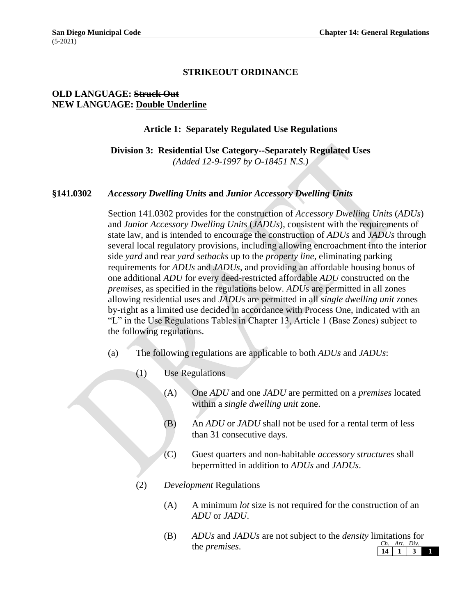## **STRIKEOUT ORDINANCE**

# **OLD LANGUAGE: Struck Out NEW LANGUAGE: Double Underline**

#### **Article 1: Separately Regulated Use Regulations**

**Division 3: Residential Use Category--Separately Regulated Uses** *(Added 12-9-1997 by O-18451 N.S.)*

#### **§141.0302** *Accessory Dwelling Units* **and** *Junior Accessory Dwelling Units*

Section 141.0302 provides for the construction of *Accessory Dwelling Units* (*ADUs*) and *Junior Accessory Dwelling Units* (*JADUs*), consistent with the requirements of state law, and is intended to encourage the construction of *ADUs* and *JADUs* through several local regulatory provisions, including allowing encroachment into the interior side *yard* and rear *yard setbacks* up to the *property line*, eliminating parking requirements for *ADUs* and *JADUs*, and providing an affordable housing bonus of one additional *ADU* for every deed-restricted affordable *ADU* constructed on the *premises*, as specified in the regulations below. *ADU*s are permitted in all zones allowing residential uses and *JADUs* are permitted in all *single dwelling unit* zones by-right as a limited use decided in accordance with Process One, indicated with an "L" in the Use Regulations Tables in Chapter 13, Article 1 (Base Zones) subject to the following regulations.

- (a) The following regulations are applicable to both *ADUs* and *JADUs*:
	- (1) Use Regulations
		- (A) One *ADU* and one *JADU* are permitted on a *premises* located within a *single dwelling unit* zone.
		- (B) An *ADU* or *JADU* shall not be used for a rental term of less than 31 consecutive days.
		- (C) Guest quarters and non-habitable *accessory structures* shall bepermitted in addition to *ADUs* and *JADUs*.
	- (2) *Development* Regulations
		- (A) A minimum *lot* size is not required for the construction of an *ADU* or *JADU*.
		- *Ch. Art. Div.* **14 1 3 1** (B) *ADUs* and *JADUs* are not subject to the *density* limitations for the *premises*.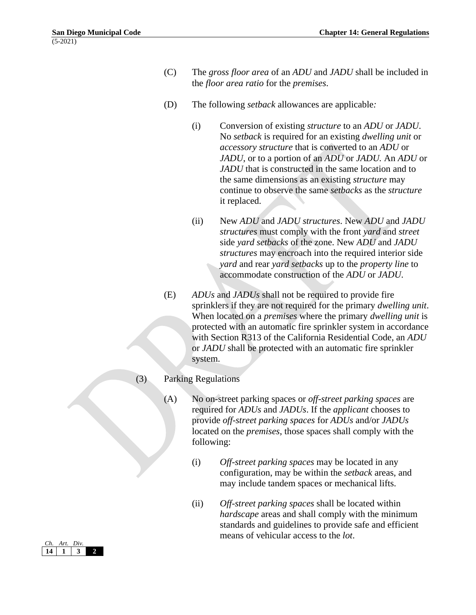- (C) The *gross floor area* of an *ADU* and *JADU* shall be included in the *floor area ratio* for the *premises*.
- (D) The following *setback* allowances are applicable*:*
	- (i) Conversion of existing *structure* to an *ADU* or *JADU*. No *setback* is required for an existing *dwelling unit* or *accessory structure* that is converted to an *ADU* or *JADU*, or to a portion of an *ADU* or *JADU.* An *ADU* or *JADU* that is constructed in the same location and to the same dimensions as an existing *structure* may continue to observe the same *setbacks* as the *structure*  it replaced.
	- (ii) New *ADU* and *JADU structures*. New *ADU* and *JADU structures* must comply with the front *yard* and *street*  side *yard setbacks* of the zone. New *ADU* and *JADU structures* may encroach into the required interior side *yard* and rear *yard setbacks* up to the *property line* to accommodate construction of the *ADU* or *JADU*.
- (E) *ADUs* and *JADUs* shall not be required to provide fire sprinklers if they are not required for the primary *dwelling unit*. When located on a *premises* where the primary *dwelling unit* is protected with an automatic fire sprinkler system in accordance with Section R313 of the California Residential Code, an *ADU*  or *JADU* shall be protected with an automatic fire sprinkler system.

## (3) Parking Regulations

- (A) No on-street parking spaces or *off-street parking spaces* are required for *ADUs* and *JADUs*. If the *applicant* chooses to provide *off-street parking spaces* for *ADUs* and/or *JADUs* located on the *premises*, those spaces shall comply with the following:
	- (i) *Off-street parking spaces* may be located in any configuration, may be within the *setback* areas, and may include tandem spaces or mechanical lifts.
	- (ii) *Off-street parking spaces* shall be located within *hardscape* areas and shall comply with the minimum standards and guidelines to provide safe and efficient means of vehicular access to the *lot*.

| Ch. Art. Div. |  |
|---------------|--|
|               |  |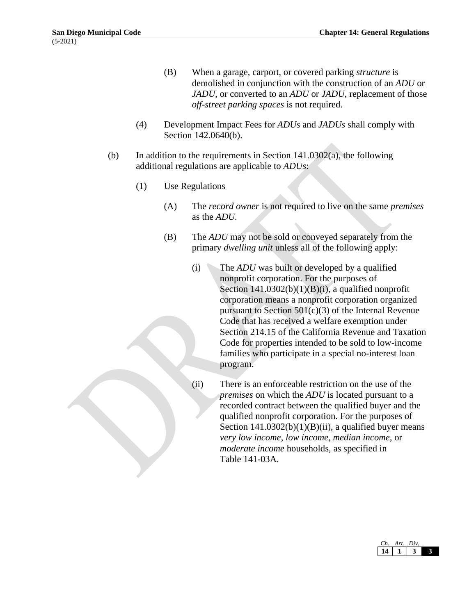- (B) When a garage, carport, or covered parking *structure* is demolished in conjunction with the construction of an *ADU* or *JADU*, or converted to an *ADU* or *JADU*, replacement of those *off-street parking spaces* is not required.
- (4) Development Impact Fees for *ADUs* and *JADUs* shall comply with Section 142.0640(b).
- (b) In addition to the requirements in Section  $141.0302(a)$ , the following additional regulations are applicable to *ADUs*:
	- (1) Use Regulations
		- (A) The *record owner* is not required to live on the same *premises*  as the *ADU.*
		- (B) The *ADU* may not be sold or conveyed separately from the primary *dwelling unit* unless all of the following apply:
			- (i) The *ADU* was built or developed by a qualified nonprofit corporation. For the purposes of Section  $141.0302(b)(1)(B)(i)$ , a qualified nonprofit corporation means a nonprofit corporation organized pursuant to Section  $501(c)(3)$  of the Internal Revenue Code that has received a welfare exemption under Section 214.15 of the California Revenue and Taxation Code for properties intended to be sold to low-income families who participate in a special no-interest loan program.
			- (ii) There is an enforceable restriction on the use of the *premises* on which the *ADU* is located pursuant to a recorded contract between the qualified buyer and the qualified nonprofit corporation. For the purposes of Section  $141.0302(b)(1)(B)(ii)$ , a qualified buyer means *very low income*, *low income*, *median income,* or *moderate income* households, as specified in Table 141-03A.

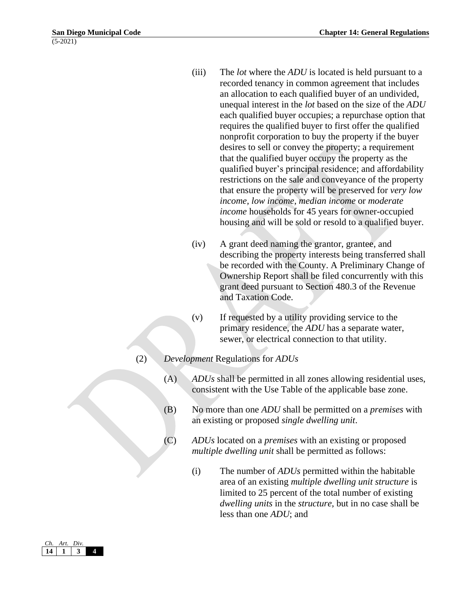- (iii) The *lot* where the *ADU* is located is held pursuant to a recorded tenancy in common agreement that includes an allocation to each qualified buyer of an undivided, unequal interest in the *lot* based on the size of the *ADU* each qualified buyer occupies; a repurchase option that requires the qualified buyer to first offer the qualified nonprofit corporation to buy the property if the buyer desires to sell or convey the property; a requirement that the qualified buyer occupy the property as the qualified buyer's principal residence; and affordability restrictions on the sale and conveyance of the property that ensure the property will be preserved for *very low income, low income, median income* or *moderate income* households for 45 years for owner-occupied housing and will be sold or resold to a qualified buyer.
- (iv) A grant deed naming the grantor, grantee, and describing the property interests being transferred shall be recorded with the County. A Preliminary Change of Ownership Report shall be filed concurrently with this grant deed pursuant to Section 480.3 of the Revenue and Taxation Code.
- (v) If requested by a utility providing service to the primary residence, the *ADU* has a separate water, sewer, or electrical connection to that utility.
- (2) *Development* Regulations for *ADUs*
	- (A) *ADUs* shall be permitted in all zones allowing residential uses, consistent with the Use Table of the applicable base zone.
	- (B) No more than one *ADU* shall be permitted on a *premises* with an existing or proposed *single dwelling unit*.
	- (C) *ADUs* located on a *premises* with an existing or proposed *multiple dwelling unit* shall be permitted as follows:
		- (i) The number of *ADUs* permitted within the habitable area of an existing *multiple dwelling unit structure* is limited to 25 percent of the total number of existing *dwelling units* in the *structure*, but in no case shall be less than one *ADU*; and

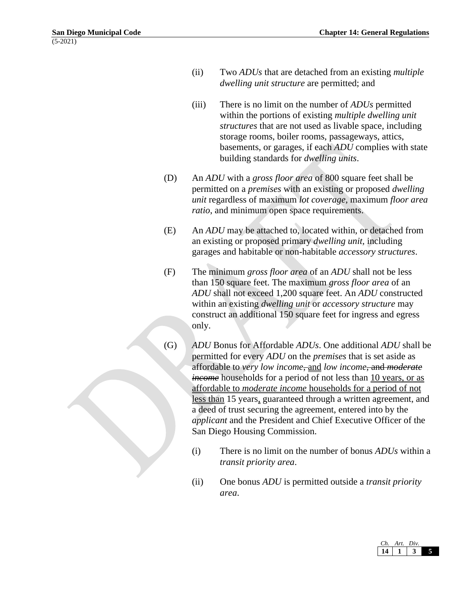- (ii) Two *ADUs* that are detached from an existing *multiple dwelling unit structure* are permitted; and
- (iii) There is no limit on the number of *ADUs* permitted within the portions of existing *multiple dwelling unit structures* that are not used as livable space, including storage rooms, boiler rooms, passageways, attics, basements, or garages, if each *ADU* complies with state building standards for *dwelling units*.
- (D) An *ADU* with a *gross floor area* of 800 square feet shall be permitted on a *premises* with an existing or proposed *dwelling unit* regardless of maximum *lot coverage,* maximum *floor area ratio*, and minimum open space requirements.
- (E) An *ADU* may be attached to, located within, or detached from an existing or proposed primary *dwelling unit,* including garages and habitable or non-habitable *accessory structures*.
- (F) The minimum *gross floor area* of an *ADU* shall not be less than 150 square feet. The maximum *gross floor area* of an *ADU* shall not exceed 1,200 square feet. An *ADU* constructed within an existing *dwelling unit* or *accessory structure* may construct an additional 150 square feet for ingress and egress only.
- (G) *ADU* Bonus for Affordable *ADUs*. One additional *ADU* shall be permitted for every *ADU* on the *premises* that is set aside as affordable to *very low income*, and *low income*, and *moderate income* households for a period of not less than 10 years, or as affordable to *moderate income* households for a period of not less than 15 years, guaranteed through a written agreement, and a deed of trust securing the agreement, entered into by the *applicant* and the President and Chief Executive Officer of the San Diego Housing Commission.
	- (i) There is no limit on the number of bonus *ADUs* within a *transit priority area*.
	- (ii) One bonus *ADU* is permitted outside a *transit priority area*.

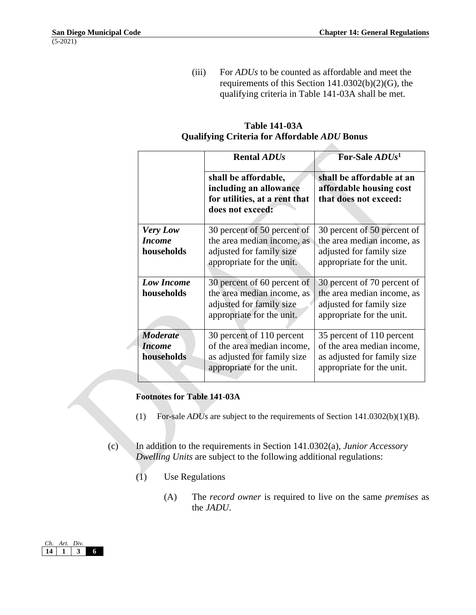(iii) For *ADUs* to be counted as affordable and meet the requirements of this Section 141.0302(b)(2)(G), the qualifying criteria in Table 141-03A shall be met.

|                                                | <b>Rental ADUs</b>                                                                                                  | For-Sale <i>ADUs</i> <sup>1</sup>                                                                                   |  |  |
|------------------------------------------------|---------------------------------------------------------------------------------------------------------------------|---------------------------------------------------------------------------------------------------------------------|--|--|
|                                                | shall be affordable,<br>including an allowance<br>for utilities, at a rent that<br>does not exceed:                 | shall be affordable at an<br>affordable housing cost<br>that does not exceed:                                       |  |  |
| <b>Very Low</b><br><b>Income</b><br>households | 30 percent of 50 percent of<br>the area median income, as<br>adjusted for family size<br>appropriate for the unit.  | 30 percent of 50 percent of<br>the area median income, as<br>adjusted for family size<br>appropriate for the unit.  |  |  |
| <b>Low Income</b><br>households                | 30 percent of 60 percent of<br>the area median income, as<br>adjusted for family size<br>appropriate for the unit.  | 30 percent of 70 percent of<br>the area median income, as<br>adjusted for family size<br>appropriate for the unit.  |  |  |
| <b>Moderate</b><br><i>Income</i><br>households | 30 percent of 110 percent<br>of the area median income,<br>as adjusted for family size<br>appropriate for the unit. | 35 percent of 110 percent<br>of the area median income,<br>as adjusted for family size<br>appropriate for the unit. |  |  |

## **Table 141-03A Qualifying Criteria for Affordable** *ADU* **Bonus**

## **Footnotes for Table 141-03A**

- (1) For-sale *ADUs* are subject to the requirements of Section 141.0302(b)(1)(B).
- (c) In addition to the requirements in Section 141.0302(a), *Junior Accessory Dwelling Units* are subject to the following additional regulations:
	- (1) Use Regulations
		- (A) The *record owner* is required to live on the same *premises* as the *JADU*.

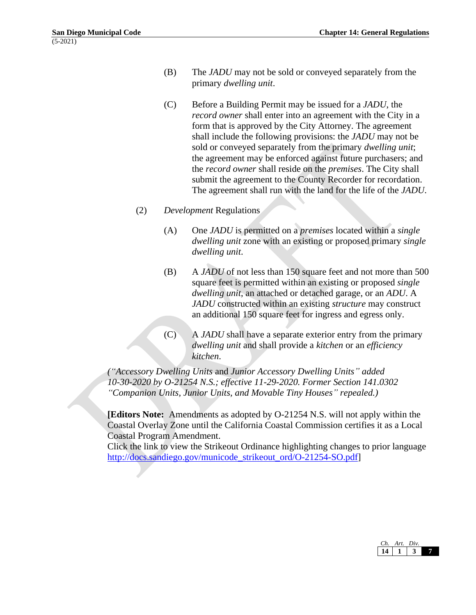- (B) The *JADU* may not be sold or conveyed separately from the primary *dwelling unit*.
- (C) Before a Building Permit may be issued for a *JADU*, the *record owner* shall enter into an agreement with the City in a form that is approved by the City Attorney. The agreement shall include the following provisions: the *JADU* may not be sold or conveyed separately from the primary *dwelling unit*; the agreement may be enforced against future purchasers; and the *record owner* shall reside on the *premises*. The City shall submit the agreement to the County Recorder for recordation. The agreement shall run with the land for the life of the *JADU*.
- (2) *Development* Regulations
	- (A) One *JADU* is permitted on a *premises* located within a *single dwelling unit* zone with an existing or proposed primary *single dwelling unit*.
	- (B) A *JADU* of not less than 150 square feet and not more than 500 square feet is permitted within an existing or proposed *single dwelling unit*, an attached or detached garage, or an *ADU*. A *JADU* constructed within an existing *structure* may construct an additional 150 square feet for ingress and egress only.
	- (C) A *JADU* shall have a separate exterior entry from the primary *dwelling unit* and shall provide a *kitchen* or an *efficiency kitchen*.

*("Accessory Dwelling Units* and *Junior Accessory Dwelling Units" added 10-30-2020 by O-21254 N.S.; effective 11-29-2020. Former Section 141.0302 "Companion Units, Junior Units, and Movable Tiny Houses" repealed.)*

**[Editors Note:** Amendments as adopted by O-21254 N.S. will not apply within the Coastal Overlay Zone until the California Coastal Commission certifies it as a Local Coastal Program Amendment.

Click the link to view the Strikeout Ordinance highlighting changes to prior language [http://docs.sandiego.gov/municode\\_strikeout\\_ord/O-21254-SO.pdf\]](http://docs.sandiego.gov/municode_strikeout_ord/O-21254-SO.pdf)

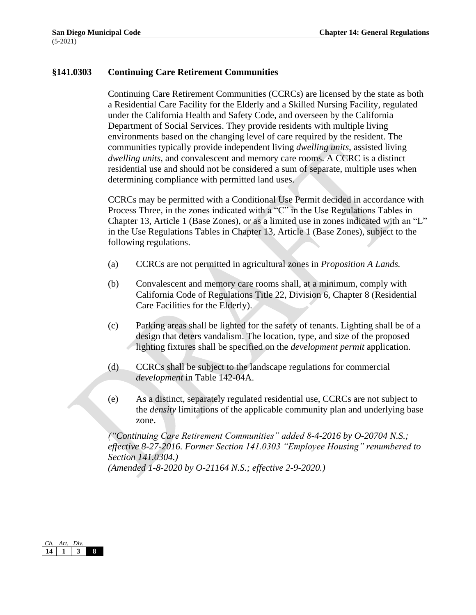## **§141.0303 Continuing Care Retirement Communities**

Continuing Care Retirement Communities (CCRCs) are licensed by the state as both a Residential Care Facility for the Elderly and a Skilled Nursing Facility, regulated under the California Health and Safety Code, and overseen by the California Department of Social Services. They provide residents with multiple living environments based on the changing level of care required by the resident. The communities typically provide independent living *dwelling units*, assisted living *dwelling units*, and convalescent and memory care rooms. A CCRC is a distinct residential use and should not be considered a sum of separate, multiple uses when determining compliance with permitted land uses.

CCRCs may be permitted with a Conditional Use Permit decided in accordance with Process Three, in the zones indicated with a "C" in the Use Regulations Tables in Chapter 13, Article 1 (Base Zones), or as a limited use in zones indicated with an "L" in the Use Regulations Tables in Chapter 13, Article 1 (Base Zones), subject to the following regulations.

- (a) CCRCs are not permitted in agricultural zones in *Proposition A Lands.*
- (b) Convalescent and memory care rooms shall, at a minimum, comply with California Code of Regulations Title 22, Division 6, Chapter 8 (Residential Care Facilities for the Elderly).
- (c) Parking areas shall be lighted for the safety of tenants. Lighting shall be of a design that deters vandalism. The location, type, and size of the proposed lighting fixtures shall be specified on the *development permit* application.
- (d) CCRCs shall be subject to the landscape regulations for commercial *development* in Table 142-04A.
- (e) As a distinct, separately regulated residential use, CCRCs are not subject to the *density* limitations of the applicable community plan and underlying base zone.

*("Continuing Care Retirement Communities" added 8-4-2016 by O-20704 N.S.; effective 8-27-2016. Former Section 141.0303 "Employee Housing" renumbered to Section 141.0304.) (Amended 1-8-2020 by O-21164 N.S.; effective 2-9-2020.)* 

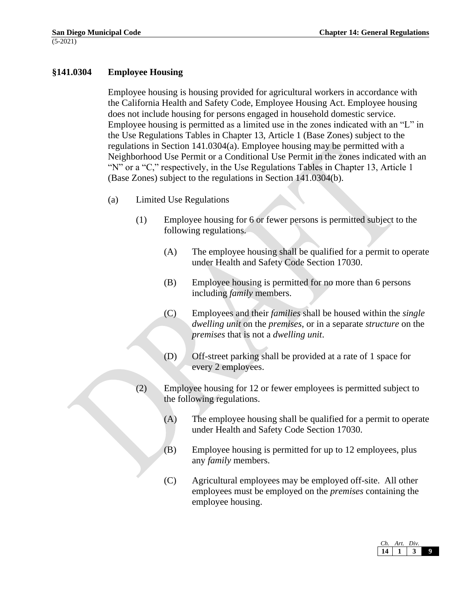## **§141.0304 Employee Housing**

Employee housing is housing provided for agricultural workers in accordance with the California Health and Safety Code, Employee Housing Act. Employee housing does not include housing for persons engaged in household domestic service. Employee housing is permitted as a limited use in the zones indicated with an "L" in the Use Regulations Tables in Chapter 13, Article 1 (Base Zones) subject to the regulations in Section 141.0304(a). Employee housing may be permitted with a Neighborhood Use Permit or a Conditional Use Permit in the zones indicated with an "N" or a "C," respectively, in the Use Regulations Tables in Chapter 13, Article 1 (Base Zones) subject to the regulations in Section 141.0304(b).

- (a) Limited Use Regulations
	- (1) Employee housing for 6 or fewer persons is permitted subject to the following regulations.
		- (A) The employee housing shall be qualified for a permit to operate under Health and Safety Code Section 17030.
		- (B) Employee housing is permitted for no more than 6 persons including *family* members.
		- (C) Employees and their *families* shall be housed within the *single dwelling unit* on the *premises*, or in a separate *structure* on the *premises* that is not a *dwelling unit*.
		- (D) Off-street parking shall be provided at a rate of 1 space for every 2 employees.
	- (2) Employee housing for 12 or fewer employees is permitted subject to the following regulations.
		- (A) The employee housing shall be qualified for a permit to operate under Health and Safety Code Section 17030.
		- (B) Employee housing is permitted for up to 12 employees, plus any *family* members.
		- (C) Agricultural employees may be employed off-site. All other employees must be employed on the *premises* containing the employee housing.

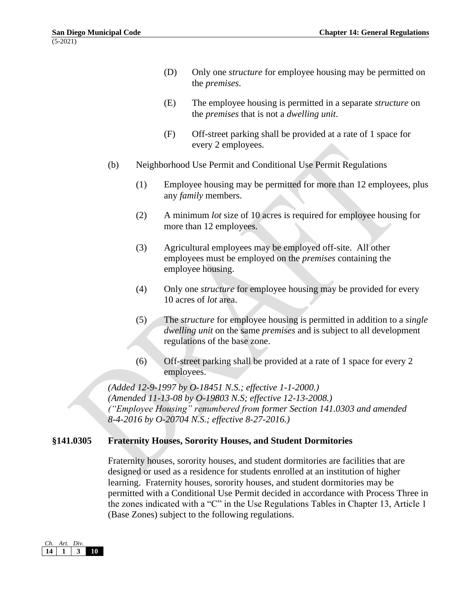- (D) Only one *structure* for employee housing may be permitted on the *premises*.
- (E) The employee housing is permitted in a separate *structure* on the *premises* that is not a *dwelling unit*.
- (F) Off-street parking shall be provided at a rate of 1 space for every 2 employees.
- (b) Neighborhood Use Permit and Conditional Use Permit Regulations
	- (1) Employee housing may be permitted for more than 12 employees, plus any *family* members.
	- (2) A minimum *lot* size of 10 acres is required for employee housing for more than 12 employees.
	- (3) Agricultural employees may be employed off-site. All other employees must be employed on the *premises* containing the employee housing.
	- (4) Only one *structure* for employee housing may be provided for every 10 acres of *lot* area.
	- (5) The *structure* for employee housing is permitted in addition to a *single dwelling unit* on the same *premises* and is subject to all development regulations of the base zone.
	- (6) Off-street parking shall be provided at a rate of 1 space for every 2 employees.

*(Added 12-9-1997 by O-18451 N.S.; effective 1-1-2000.) (Amended 11-13-08 by O-19803 N.S; effective 12-13-2008.) ("Employee Housing" renumbered from former Section 141.0303 and amended 8-4-2016 by O-20704 N.S.; effective 8-27-2016.)*

# **§141.0305 Fraternity Houses, Sorority Houses, and Student Dormitories**

Fraternity houses, sorority houses, and student dormitories are facilities that are designed or used as a residence for students enrolled at an institution of higher learning. Fraternity houses, sorority houses, and student dormitories may be permitted with a Conditional Use Permit decided in accordance with Process Three in the zones indicated with a "C" in the Use Regulations Tables in Chapter 13, Article 1 (Base Zones) subject to the following regulations.

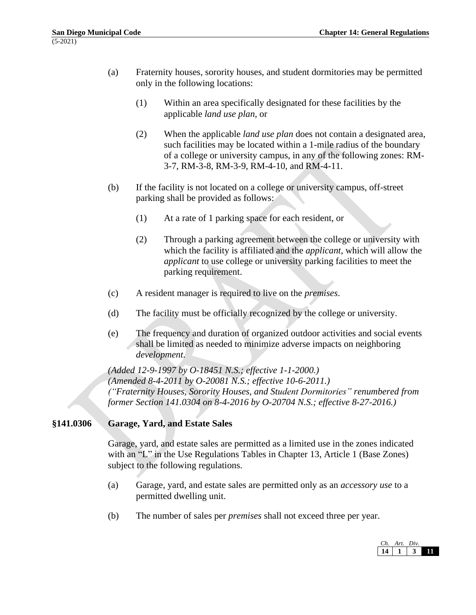- (a) Fraternity houses, sorority houses, and student dormitories may be permitted only in the following locations:
	- (1) Within an area specifically designated for these facilities by the applicable *land use plan*, or
	- (2) When the applicable *land use plan* does not contain a designated area, such facilities may be located within a 1-mile radius of the boundary of a college or university campus, in any of the following zones: RM-3-7, RM-3-8, RM-3-9, RM-4-10, and RM-4-11.
- (b) If the facility is not located on a college or university campus, off-street parking shall be provided as follows:
	- (1) At a rate of 1 parking space for each resident, or
	- (2) Through a parking agreement between the college or university with which the facility is affiliated and the *applicant*, which will allow the *applicant* to use college or university parking facilities to meet the parking requirement.
- (c) A resident manager is required to live on the *premises*.
- (d) The facility must be officially recognized by the college or university.
- (e) The frequency and duration of organized outdoor activities and social events shall be limited as needed to minimize adverse impacts on neighboring *development*.

*(Added 12-9-1997 by O-18451 N.S.; effective 1-1-2000.) (Amended 8-4-2011 by O-20081 N.S.; effective 10-6-2011.) ("Fraternity Houses, Sorority Houses, and Student Dormitories" renumbered from former Section 141.0304 on 8-4-2016 by O-20704 N.S.; effective 8-27-2016.)*

## **§141.0306 Garage, Yard, and Estate Sales**

Garage, yard, and estate sales are permitted as a limited use in the zones indicated with an "L" in the Use Regulations Tables in Chapter 13, Article 1 (Base Zones) subject to the following regulations.

- (a) Garage, yard, and estate sales are permitted only as an *accessory use* to a permitted dwelling unit.
- (b) The number of sales per *premises* shall not exceed three per year.

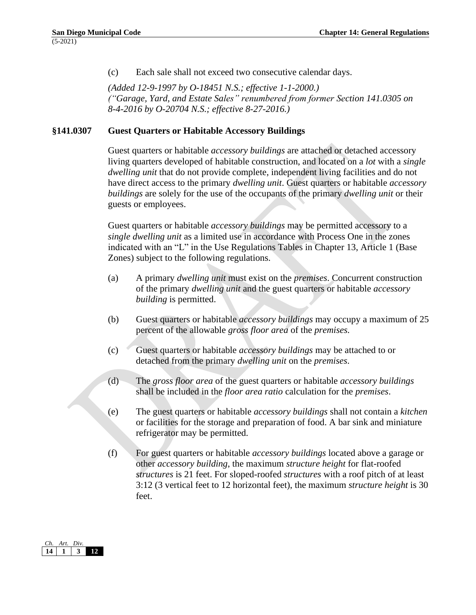(c) Each sale shall not exceed two consecutive calendar days.

*(Added 12-9-1997 by O-18451 N.S.; effective 1-1-2000.) ("Garage, Yard, and Estate Sales" renumbered from former Section 141.0305 on 8-4-2016 by O-20704 N.S.; effective 8-27-2016.)*

#### **§141.0307 Guest Quarters or Habitable Accessory Buildings**

Guest quarters or habitable *accessory buildings* are attached or detached accessory living quarters developed of habitable construction, and located on a *lot* with a *single dwelling unit* that do not provide complete, independent living facilities and do not have direct access to the primary *dwelling unit*. Guest quarters or habitable *accessory buildings* are solely for the use of the occupants of the primary *dwelling unit* or their guests or employees.

Guest quarters or habitable *accessory buildings* may be permitted accessory to a *single dwelling unit* as a limited use in accordance with Process One in the zones indicated with an "L" in the Use Regulations Tables in Chapter 13, Article 1 (Base Zones) subject to the following regulations.

- (a) A primary *dwelling unit* must exist on the *premises*. Concurrent construction of the primary *dwelling unit* and the guest quarters or habitable *accessory building* is permitted.
- (b) Guest quarters or habitable *accessory buildings* may occupy a maximum of 25 percent of the allowable *gross floor area* of the *premises.*
- (c) Guest quarters or habitable *accessory buildings* may be attached to or detached from the primary *dwelling unit* on the *premises*.
- (d) The *gross floor area* of the guest quarters or habitable *accessory buildings* shall be included in the *floor area ratio* calculation for the *premises*.
- (e) The guest quarters or habitable *accessory buildings* shall not contain a *kitchen*  or facilities for the storage and preparation of food. A bar sink and miniature refrigerator may be permitted.
- (f) For guest quarters or habitable *accessory buildings* located above a garage or other *accessory building*, the maximum *structure height* for flat-roofed *structures* is 21 feet. For sloped-roofed *structures* with a roof pitch of at least 3:12 (3 vertical feet to 12 horizontal feet), the maximum *structure height* is 30 feet.

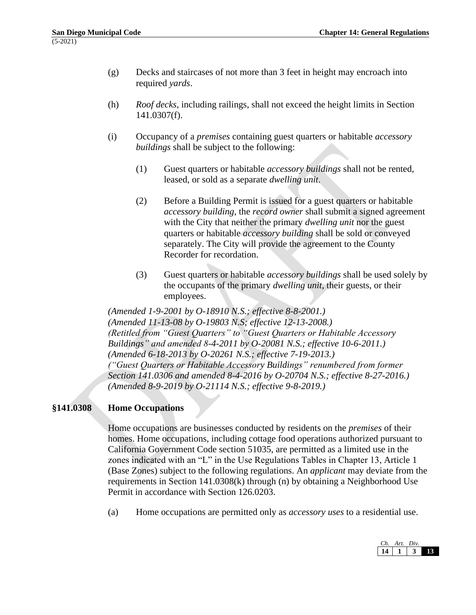- (g) Decks and staircases of not more than 3 feet in height may encroach into required *yards*.
- (h) *Roof decks*, including railings, shall not exceed the height limits in Section 141.0307(f).
- (i) Occupancy of a *premises* containing guest quarters or habitable *accessory buildings* shall be subject to the following:
	- (1) Guest quarters or habitable *accessory buildings* shall not be rented, leased, or sold as a separate *dwelling unit*.
	- (2) Before a Building Permit is issued for a guest quarters or habitable *accessory building*, the *record owner* shall submit a signed agreement with the City that neither the primary *dwelling unit* nor the guest quarters or habitable *accessory building* shall be sold or conveyed separately. The City will provide the agreement to the County Recorder for recordation.
	- (3) Guest quarters or habitable *accessory buildings* shall be used solely by the occupants of the primary *dwelling unit*, their guests, or their employees.

*(Amended 1-9-2001 by O-18910 N.S.; effective 8-8-2001.) (Amended 11-13-08 by O-19803 N.S; effective 12-13-2008.) (Retitled from "Guest Quarters" to "Guest Quarters or Habitable Accessory Buildings" and amended 8-4-2011 by O-20081 N.S.; effective 10-6-2011.) (Amended 6-18-2013 by O-20261 N.S.; effective 7-19-2013.) ("Guest Quarters or Habitable Accessory Buildings" renumbered from former Section 141.0306 and amended 8-4-2016 by O-20704 N.S.; effective 8-27-2016.) (Amended 8-9-2019 by O-21114 N.S.; effective 9-8-2019.)*

# **§141.0308 Home Occupations**

Home occupations are businesses conducted by residents on the *premises* of their homes. Home occupations, including cottage food operations authorized pursuant to California Government Code section 51035, are permitted as a limited use in the zones indicated with an "L" in the Use Regulations Tables in Chapter 13, Article 1 (Base Zones) subject to the following regulations. An *applicant* may deviate from the requirements in Section 141.0308(k) through (n) by obtaining a Neighborhood Use Permit in accordance with Section 126.0203.

(a) Home occupations are permitted only as *accessory uses* to a residential use.

| Art. | Div. |  |
|------|------|--|
|      |      |  |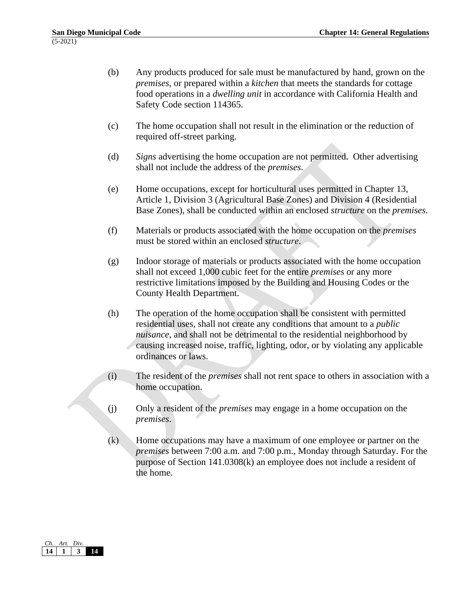- (b) Any products produced for sale must be manufactured by hand, grown on the *premises*, or prepared within a *kitchen* that meets the standards for cottage food operations in a *dwelling unit* in accordance with California Health and Safety Code section 114365.
- (c) The home occupation shall not result in the elimination or the reduction of required off-street parking.
- (d) *Signs* advertising the home occupation are not permitted. Other advertising shall not include the address of the *premises*.
- (e) Home occupations, except for horticultural uses permitted in Chapter 13, Article 1, Division 3 (Agricultural Base Zones) and Division 4 (Residential Base Zones), shall be conducted within an enclosed *structure* on the *premises*.
- (f) Materials or products associated with the home occupation on the *premises* must be stored within an enclosed *structure*.
- (g) Indoor storage of materials or products associated with the home occupation shall not exceed 1,000 cubic feet for the entire *premises* or any more restrictive limitations imposed by the Building and Housing Codes or the County Health Department.
- (h) The operation of the home occupation shall be consistent with permitted residential uses, shall not create any conditions that amount to a *public nuisance*, and shall not be detrimental to the residential neighborhood by causing increased noise, traffic, lighting, odor, or by violating any applicable ordinances or laws.
- (i) The resident of the *premises* shall not rent space to others in association with a home occupation.
- (j) Only a resident of the *premises* may engage in a home occupation on the *premises*.
- (k) Home occupations may have a maximum of one employee or partner on the *premises* between 7:00 a.m. and 7:00 p.m., Monday through Saturday. For the purpose of Section 141.0308(k) an employee does not include a resident of the home.

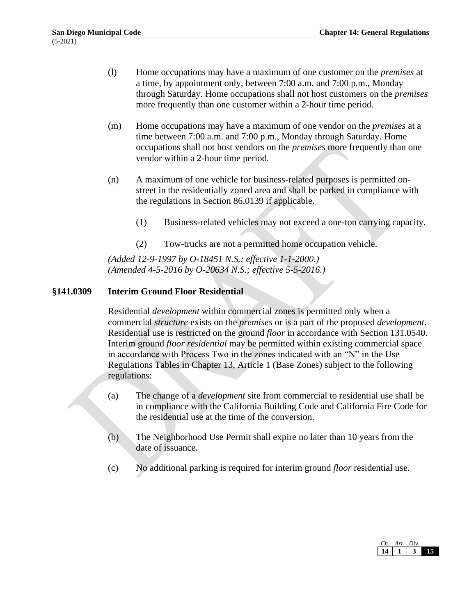- (l) Home occupations may have a maximum of one customer on the *premises* at a time, by appointment only, between 7:00 a.m. and 7:00 p.m., Monday through Saturday. Home occupations shall not host customers on the *premises* more frequently than one customer within a 2-hour time period.
- (m) Home occupations may have a maximum of one vendor on the *premises* at a time between 7:00 a.m. and 7:00 p.m., Monday through Saturday. Home occupations shall not host vendors on the *premises* more frequently than one vendor within a 2-hour time period.
- (n) A maximum of one vehicle for business-related purposes is permitted onstreet in the residentially zoned area and shall be parked in compliance with the regulations in Section 86.0139 if applicable.
	- (1) Business-related vehicles may not exceed a one-ton carrying capacity.
	- (2) Tow-trucks are not a permitted home occupation vehicle.

*(Added 12-9-1997 by O-18451 N.S.; effective 1-1-2000.) (Amended 4-5-2016 by O-20634 N.S.; effective 5-5-2016.)*

## **§141.0309 Interim Ground Floor Residential**

Residential *development* within commercial zones is permitted only when a commercial *structure* exists on the *premises* or is a part of the proposed *development*. Residential use is restricted on the ground *floor* in accordance with Section 131.0540. Interim ground *floor residential* may be permitted within existing commercial space in accordance with Process Two in the zones indicated with an "N" in the Use Regulations Tables in Chapter 13, Article 1 (Base Zones) subject to the following regulations:

- (a) The change of a *development* site from commercial to residential use shall be in compliance with the California Building Code and California Fire Code for the residential use at the time of the conversion.
- (b) The Neighborhood Use Permit shall expire no later than 10 years from the date of issuance.
- (c) No additional parking is required for interim ground *floor* residential use.

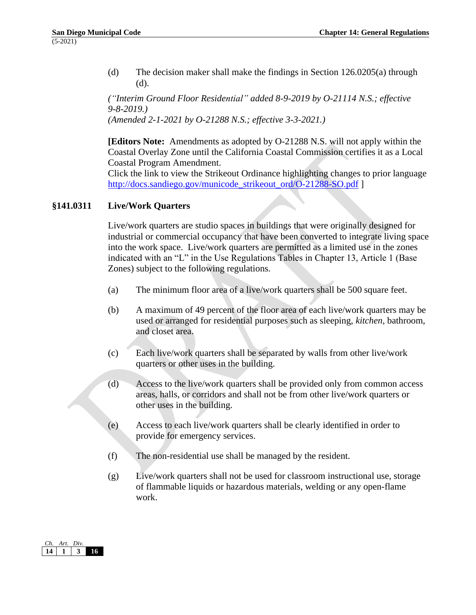(d) The decision maker shall make the findings in Section 126.0205(a) through (d).

*("Interim Ground Floor Residential" added 8-9-2019 by O-21114 N.S.; effective 9-8-2019.) (Amended 2-1-2021 by O-21288 N.S.; effective 3-3-2021.)*

**[Editors Note:** Amendments as adopted by O-21288 N.S. will not apply within the Coastal Overlay Zone until the California Coastal Commission certifies it as a Local Coastal Program Amendment.

Click the link to view the Strikeout Ordinance highlighting changes to prior language [http://docs.sandiego.gov/municode\\_strikeout\\_ord/O-21288-SO.pdf](http://docs.sandiego.gov/municode_strikeout_ord/O-21288-SO.pdf) ]

## **§141.0311 Live/Work Quarters**

Live/work quarters are studio spaces in buildings that were originally designed for industrial or commercial occupancy that have been converted to integrate living space into the work space. Live/work quarters are permitted as a limited use in the zones indicated with an "L" in the Use Regulations Tables in Chapter 13, Article 1 (Base Zones) subject to the following regulations.

- (a) The minimum floor area of a live/work quarters shall be 500 square feet.
- (b) A maximum of 49 percent of the floor area of each live/work quarters may be used or arranged for residential purposes such as sleeping, *kitchen*, bathroom, and closet area.
- (c) Each live/work quarters shall be separated by walls from other live/work quarters or other uses in the building.
- (d) Access to the live/work quarters shall be provided only from common access areas, halls, or corridors and shall not be from other live/work quarters or other uses in the building.
- (e) Access to each live/work quarters shall be clearly identified in order to provide for emergency services.
- (f) The non-residential use shall be managed by the resident.
- (g) Live/work quarters shall not be used for classroom instructional use, storage of flammable liquids or hazardous materials, welding or any open-flame work.

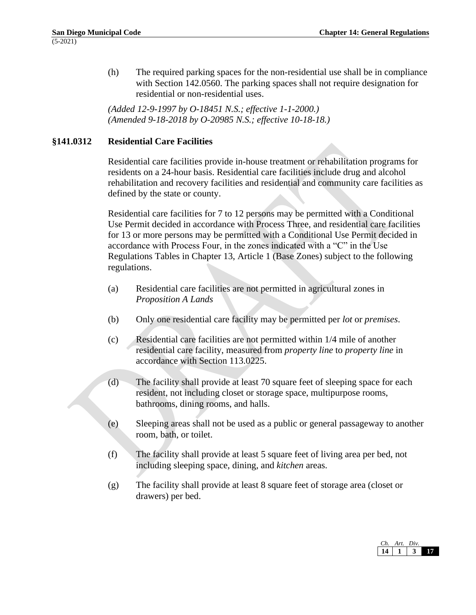(h) The required parking spaces for the non-residential use shall be in compliance with Section 142.0560. The parking spaces shall not require designation for residential or non-residential uses.

*(Added 12-9-1997 by O-18451 N.S.; effective 1-1-2000.) (Amended 9-18-2018 by O-20985 N.S.; effective 10-18-18.)*

## **§141.0312 Residential Care Facilities**

Residential care facilities provide in-house treatment or rehabilitation programs for residents on a 24-hour basis. Residential care facilities include drug and alcohol rehabilitation and recovery facilities and residential and community care facilities as defined by the state or county.

Residential care facilities for 7 to 12 persons may be permitted with a Conditional Use Permit decided in accordance with Process Three, and residential care facilities for 13 or more persons may be permitted with a Conditional Use Permit decided in accordance with Process Four, in the zones indicated with a "C" in the Use Regulations Tables in Chapter 13, Article 1 (Base Zones) subject to the following regulations.

- (a) Residential care facilities are not permitted in agricultural zones in *Proposition A Lands*
- (b) Only one residential care facility may be permitted per *lot* or *premises*.
- (c) Residential care facilities are not permitted within 1/4 mile of another residential care facility, measured from *property line* to *property line* in accordance with Section 113.0225.
- (d) The facility shall provide at least 70 square feet of sleeping space for each resident, not including closet or storage space, multipurpose rooms, bathrooms, dining rooms, and halls.
- (e) Sleeping areas shall not be used as a public or general passageway to another room, bath, or toilet.
- (f) The facility shall provide at least 5 square feet of living area per bed, not including sleeping space, dining, and *kitchen* areas.
- (g) The facility shall provide at least 8 square feet of storage area (closet or drawers) per bed.

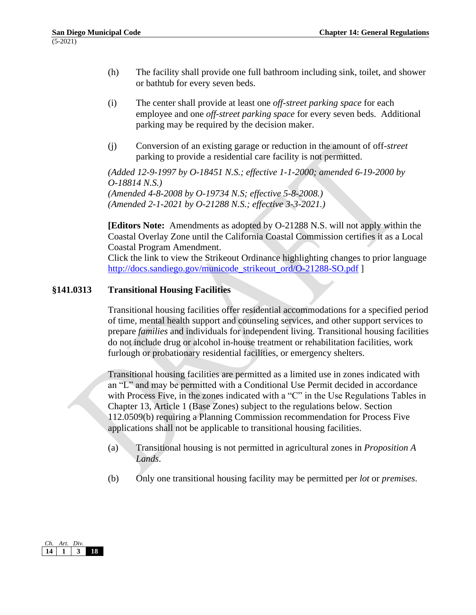- (h) The facility shall provide one full bathroom including sink, toilet, and shower or bathtub for every seven beds.
- (i) The center shall provide at least one *off-street parking space* for each employee and one *off-street parking space* for every seven beds. Additional parking may be required by the decision maker.
- (j) Conversion of an existing garage or reduction in the amount of off-*street* parking to provide a residential care facility is not permitted.

*(Added 12-9-1997 by O-18451 N.S.; effective 1-1-2000; amended 6-19-2000 by O-18814 N.S.) (Amended 4-8-2008 by O-19734 N.S; effective 5-8-2008.)*

*(Amended 2-1-2021 by O-21288 N.S.; effective 3-3-2021.)*

**[Editors Note:** Amendments as adopted by O-21288 N.S. will not apply within the Coastal Overlay Zone until the California Coastal Commission certifies it as a Local Coastal Program Amendment.

Click the link to view the Strikeout Ordinance highlighting changes to prior language [http://docs.sandiego.gov/municode\\_strikeout\\_ord/O-21288-SO.pdf](http://docs.sandiego.gov/municode_strikeout_ord/O-21288-SO.pdf) ]

## **§141.0313 Transitional Housing Facilities**

Transitional housing facilities offer residential accommodations for a specified period of time, mental health support and counseling services, and other support services to prepare *families* and individuals for independent living. Transitional housing facilities do not include drug or alcohol in-house treatment or rehabilitation facilities, work furlough or probationary residential facilities, or emergency shelters.

Transitional housing facilities are permitted as a limited use in zones indicated with an "L" and may be permitted with a Conditional Use Permit decided in accordance with Process Five, in the zones indicated with a "C" in the Use Regulations Tables in Chapter 13, Article 1 (Base Zones) subject to the regulations below. Section 112.0509(b) requiring a Planning Commission recommendation for Process Five applications shall not be applicable to transitional housing facilities.

- (a) Transitional housing is not permitted in agricultural zones in *Proposition A Lands*.
- (b) Only one transitional housing facility may be permitted per *lot* or *premises*.

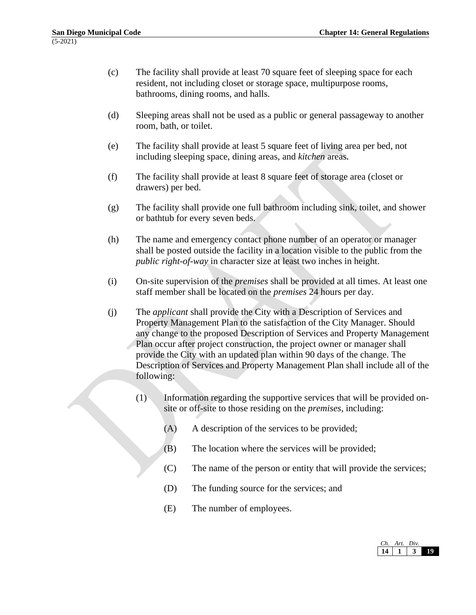- (c) The facility shall provide at least 70 square feet of sleeping space for each resident, not including closet or storage space, multipurpose rooms, bathrooms, dining rooms, and halls.
- (d) Sleeping areas shall not be used as a public or general passageway to another room, bath, or toilet.
- (e) The facility shall provide at least 5 square feet of living area per bed, not including sleeping space, dining areas, and *kitchen* areas.
- (f) The facility shall provide at least 8 square feet of storage area (closet or drawers) per bed.
- (g) The facility shall provide one full bathroom including sink, toilet, and shower or bathtub for every seven beds.
- (h) The name and emergency contact phone number of an operator or manager shall be posted outside the facility in a location visible to the public from the *public right-of-way* in character size at least two inches in height.
- (i) On-site supervision of the *premises* shall be provided at all times. At least one staff member shall be located on the *premises* 24 hours per day.
- (j) The *applicant* shall provide the City with a Description of Services and Property Management Plan to the satisfaction of the City Manager. Should any change to the proposed Description of Services and Property Management Plan occur after project construction, the project owner or manager shall provide the City with an updated plan within 90 days of the change. The Description of Services and Property Management Plan shall include all of the following:
	- (1) Information regarding the supportive services that will be provided onsite or off-site to those residing on the *premises*, including:
		- (A) A description of the services to be provided;
		- (B) The location where the services will be provided;
		- (C) The name of the person or entity that will provide the services;
		- (D) The funding source for the services; and
		- (E) The number of employees.

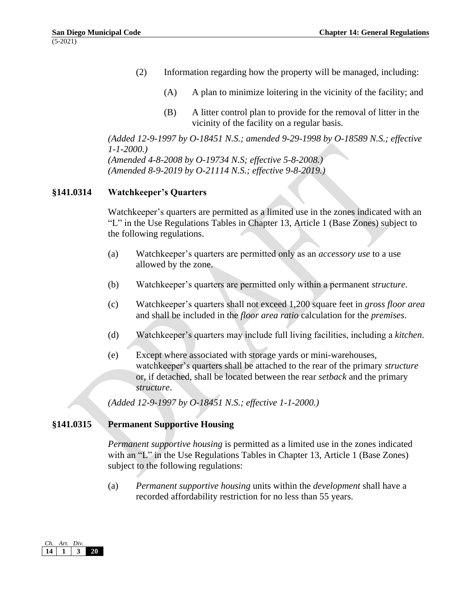- (2) Information regarding how the property will be managed, including:
	- (A) A plan to minimize loitering in the vicinity of the facility; and
	- (B) A litter control plan to provide for the removal of litter in the vicinity of the facility on a regular basis.

*(Added 12-9-1997 by O-18451 N.S.; amended 9-29-1998 by O-18589 N.S.; effective 1-1-2000.) (Amended 4-8-2008 by O-19734 N.S; effective 5-8-2008.) (Amended 8-9-2019 by O-21114 N.S.; effective 9-8-2019.)*

## **§141.0314 Watchkeeper's Quarters**

Watchkeeper's quarters are permitted as a limited use in the zones indicated with an "L" in the Use Regulations Tables in Chapter 13, Article 1 (Base Zones) subject to the following regulations.

- (a) Watchkeeper's quarters are permitted only as an *accessory use* to a use allowed by the zone.
- (b) Watchkeeper's quarters are permitted only within a permanent *structure*.
- (c) Watchkeeper's quarters shall not exceed 1,200 square feet in *gross floor area* and shall be included in the *floor area ratio* calculation for the *premises*.
- (d) Watchkeeper's quarters may include full living facilities, including a *kitchen*.
- (e) Except where associated with storage yards or mini-warehouses, watchkeeper's quarters shall be attached to the rear of the primary *structure* or, if detached, shall be located between the rear *setback* and the primary *structure*.

*(Added 12-9-1997 by O-18451 N.S.; effective 1-1-2000.)*

# **§141.0315 Permanent Supportive Housing**

*Permanent supportive housing* is permitted as a limited use in the zones indicated with an "L" in the Use Regulations Tables in Chapter 13, Article 1 (Base Zones) subject to the following regulations:

(a) *Permanent supportive housing* units within the *development* shall have a recorded affordability restriction for no less than 55 years.

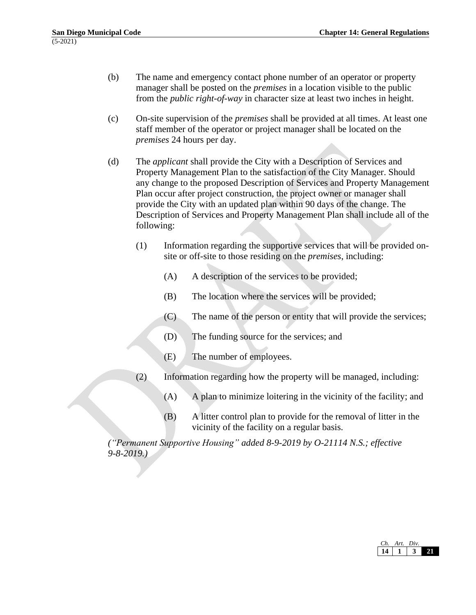- (b) The name and emergency contact phone number of an operator or property manager shall be posted on the *premises* in a location visible to the public from the *public right-of-way* in character size at least two inches in height.
- (c) On-site supervision of the *premises* shall be provided at all times. At least one staff member of the operator or project manager shall be located on the *premises* 24 hours per day.
- (d) The *applicant* shall provide the City with a Description of Services and Property Management Plan to the satisfaction of the City Manager. Should any change to the proposed Description of Services and Property Management Plan occur after project construction, the project owner or manager shall provide the City with an updated plan within 90 days of the change. The Description of Services and Property Management Plan shall include all of the following:
	- (1) Information regarding the supportive services that will be provided onsite or off-site to those residing on the *premises*, including:
		- (A) A description of the services to be provided;
		- (B) The location where the services will be provided;
		- (C) The name of the person or entity that will provide the services;
		- (D) The funding source for the services; and
		- (E) The number of employees.
	- (2) Information regarding how the property will be managed, including:
		- (A) A plan to minimize loitering in the vicinity of the facility; and
		- (B) A litter control plan to provide for the removal of litter in the vicinity of the facility on a regular basis.

*("Permanent Supportive Housing" added 8-9-2019 by O-21114 N.S.; effective 9-8-2019.)*

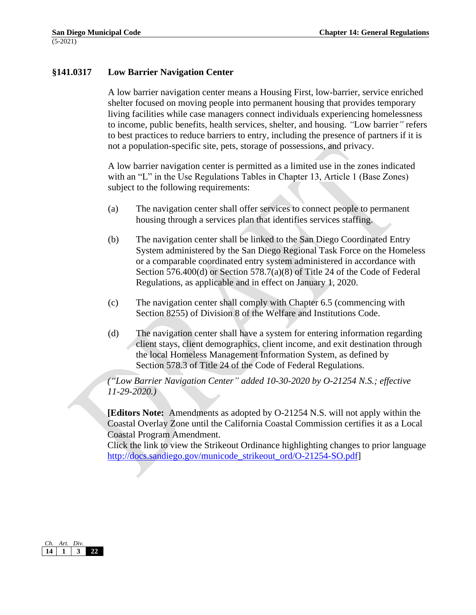## **§141.0317 Low Barrier Navigation Center**

A low barrier navigation center means a Housing First, low-barrier*,* service enriched shelter focused on moving people into permanent housing that provides temporary living facilities while case managers connect individuals experiencing homelessness to income, public benefits, health services, shelter, and housing. *"*Low barrier*"* refers to best practices to reduce barriers to entry, including the presence of partners if it is not a population-specific site, pets, storage of possessions, and privacy.

A low barrier navigation center is permitted as a limited use in the zones indicated with an "L" in the Use Regulations Tables in Chapter 13, Article 1 (Base Zones) subject to the following requirements:

- (a) The navigation center shall offer services to connect people to permanent housing through a services plan that identifies services staffing.
- (b) The navigation center shall be linked to the San Diego Coordinated Entry System administered by the San Diego Regional Task Force on the Homeless or a comparable coordinated entry system administered in accordance with Section 576.400(d) or Section 578.7(a)(8) of Title 24 of the Code of Federal Regulations, as applicable and in effect on January 1, 2020.
- (c) The navigation center shall comply with Chapter 6.5 (commencing with Section 8255) of Division 8 of the Welfare and Institutions Code.
- (d) The navigation center shall have a system for entering information regarding client stays, client demographics, client income, and exit destination through the local Homeless Management Information System, as defined by Section 578.3 of Title 24 of the Code of Federal Regulations.

*("Low Barrier Navigation Center" added 10-30-2020 by O-21254 N.S.; effective 11-29-2020.)*

**[Editors Note:** Amendments as adopted by O-21254 N.S. will not apply within the Coastal Overlay Zone until the California Coastal Commission certifies it as a Local Coastal Program Amendment.

Click the link to view the Strikeout Ordinance highlighting changes to prior language [http://docs.sandiego.gov/municode\\_strikeout\\_ord/O-21254-SO.pdf\]](http://docs.sandiego.gov/municode_strikeout_ord/O-21254-SO.pdf)

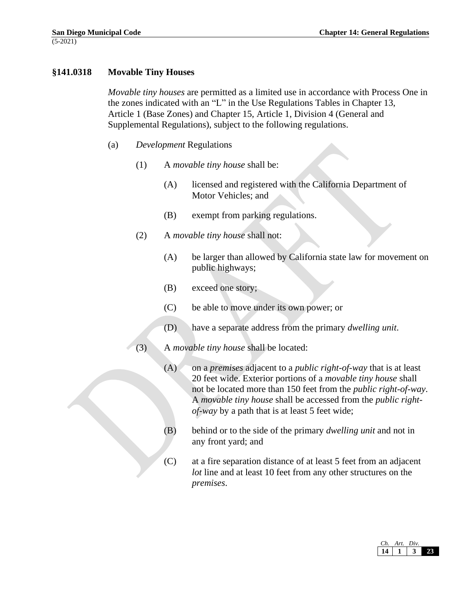## **§141.0318 Movable Tiny Houses**

*Movable tiny houses* are permitted as a limited use in accordance with Process One in the zones indicated with an "L" in the Use Regulations Tables in Chapter 13, Article 1 (Base Zones) and Chapter 15, Article 1, Division 4 (General and Supplemental Regulations), subject to the following regulations.

- (a) *Development* Regulations
	- (1) A *movable tiny house* shall be:
		- (A) licensed and registered with the California Department of Motor Vehicles; and
		- (B) exempt from parking regulations.
	- (2) A *movable tiny house* shall not:
		- (A) be larger than allowed by California state law for movement on public highways;
		- (B) exceed one story;
		- (C) be able to move under its own power; or
		- (D) have a separate address from the primary *dwelling unit*.
	- (3) A *movable tiny house* shall be located:
		- (A) on a *premises* adjacent to a *public right-of-way* that is at least 20 feet wide. Exterior portions of a *movable tiny house* shall not be located more than 150 feet from the *public right-of-way*. A *movable tiny house* shall be accessed from the *public rightof-way* by a path that is at least 5 feet wide;
		- (B) behind or to the side of the primary *dwelling unit* and not in any front yard; and
		- (C) at a fire separation distance of at least 5 feet from an adjacent *lot* line and at least 10 feet from any other structures on the *premises*.

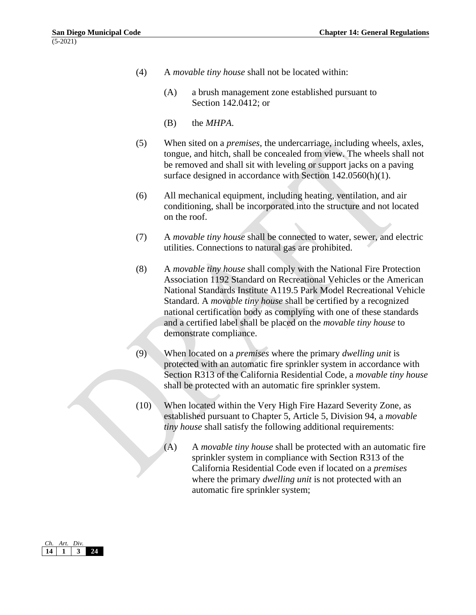- (4) A *movable tiny house* shall not be located within:
	- (A) a brush management zone established pursuant to Section 142.0412; or
	- (B) the *MHPA*.
- (5) When sited on a *premises*, the undercarriage, including wheels, axles, tongue, and hitch, shall be concealed from view. The wheels shall not be removed and shall sit with leveling or support jacks on a paving surface designed in accordance with Section 142.0560(h)(1).
- (6) All mechanical equipment, including heating, ventilation, and air conditioning, shall be incorporated into the structure and not located on the roof.
- (7) A *movable tiny house* shall be connected to water, sewer, and electric utilities. Connections to natural gas are prohibited.
- (8) A *movable tiny house* shall comply with the National Fire Protection Association 1192 Standard on Recreational Vehicles or the American National Standards Institute A119.5 Park Model Recreational Vehicle Standard. A *movable tiny house* shall be certified by a recognized national certification body as complying with one of these standards and a certified label shall be placed on the *movable tiny house* to demonstrate compliance.
- (9) When located on a *premises* where the primary *dwelling unit* is protected with an automatic fire sprinkler system in accordance with Section R313 of the California Residential Code, a *movable tiny house* shall be protected with an automatic fire sprinkler system.
- (10) When located within the Very High Fire Hazard Severity Zone, as established pursuant to Chapter 5, Article 5, Division 94, a *movable tiny house* shall satisfy the following additional requirements:
	- (A) A *movable tiny house* shall be protected with an automatic fire sprinkler system in compliance with Section R313 of the California Residential Code even if located on a *premises* where the primary *dwelling unit* is not protected with an automatic fire sprinkler system;